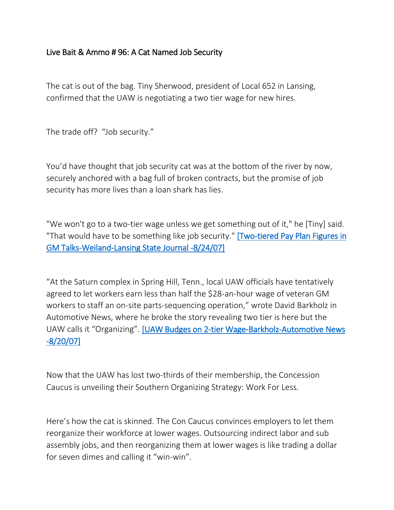## Live Bait & Ammo # 96: A Cat Named Job Security

The cat is out of the bag. Tiny Sherwood, president of Local 652 in Lansing, confirmed that the UAW is negotiating a two tier wage for new hires.

The trade off? "Job security."

You'd have thought that job security cat was at the bottom of the river by now, securely anchored with a bag full of broken contracts, but the promise of job security has more lives than a loan shark has lies.

"We won't go to a two-tier wage unless we get something out of it," he [Tiny] said. "That would have to be something like job security." [Two-tiered Pay Plan Figures in [GM Talks-Weiland-Lansing State Journal -8/24/07\]](http://www.lsj.com/apps/pbcs.dll/article?AID=/20070824/NEWS01/708240339/1004/news03)

"At the Saturn complex in Spring Hill, Tenn., local UAW officials have tentatively agreed to let workers earn less than half the \$28-an-hour wage of veteran GM workers to staff an on-site parts-sequencing operation," wrote David Barkholz in Automotive News, where he broke the story revealing two tier is here but the UAW calls it "Organizing". [\[UAW Budges on 2-tier Wage-Barkholz-Automotive News](http://soldiersofsolidarity.org/files/relatednewsandreports07/UAWbudgeson2-tierwageProposeddealswithGMletlocalsorganizenonproductionstaffatsomeplants62007.html)  [-8/20/07\]](http://soldiersofsolidarity.org/files/relatednewsandreports07/UAWbudgeson2-tierwageProposeddealswithGMletlocalsorganizenonproductionstaffatsomeplants62007.html)

Now that the UAW has lost two-thirds of their membership, the Concession Caucus is unveiling their Southern Organizing Strategy: Work For Less.

Here's how the cat is skinned. The Con Caucus convinces employers to let them reorganize their workforce at lower wages. Outsourcing indirect labor and sub assembly jobs, and then reorganizing them at lower wages is like trading a dollar for seven dimes and calling it "win-win".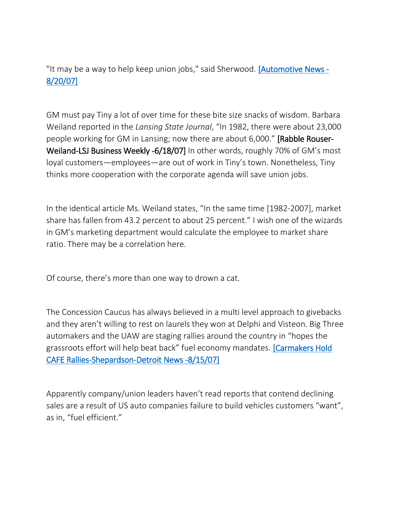"It may be a way to help keep union jobs," said Sherwood. [\[Automotive News -](http://soldiersofsolidarity.org/files/relatednewsandreports07/UAWbudgeson2-tierwageProposeddealswithGMletlocalsorganizenonproductionstaffatsomeplants62007.html) [8/20/07\]](http://soldiersofsolidarity.org/files/relatednewsandreports07/UAWbudgeson2-tierwageProposeddealswithGMletlocalsorganizenonproductionstaffatsomeplants62007.html)

GM must pay Tiny a lot of over time for these bite size snacks of wisdom. Barbara Weiland reported in the *Lansing State Journal*, "In 1982, there were about 23,000 people working for GM in Lansing; now there are about 6,000." [Rabble Rouser-Weiland-LSJ Business Weekly -6/18/07] In other words, roughly 70% of GM's most loyal customers—employees—are out of work in Tiny's town. Nonetheless, Tiny thinks more cooperation with the corporate agenda will save union jobs.

In the identical article Ms. Weiland states, "In the same time [1982-2007], market share has fallen from 43.2 percent to about 25 percent." I wish one of the wizards in GM's marketing department would calculate the employee to market share ratio. There may be a correlation here.

Of course, there's more than one way to drown a cat.

The Concession Caucus has always believed in a multi level approach to givebacks and they aren't willing to rest on laurels they won at Delphi and Visteon. Big Three automakers and the UAW are staging rallies around the country in "hopes the grassroots effort will help beat back" fuel economy mandates. [\[Carmakers Hold](http://www.detnews.com/apps/pbcs.dll/article?AID=/20070815/AUTO01/708150346)  [CAFE Rallies-Shepardson-Detroit News -8/15/07\]](http://www.detnews.com/apps/pbcs.dll/article?AID=/20070815/AUTO01/708150346)

Apparently company/union leaders haven't read reports that contend declining sales are a result of US auto companies failure to build vehicles customers "want", as in, "fuel efficient."